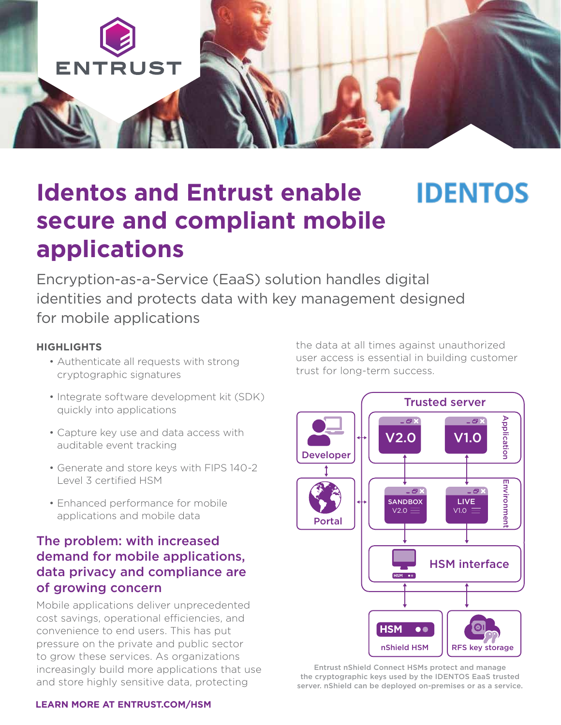

## **IDENTOS Identos and Entrust enable secure and compliant mobile applications**

Encryption-as-a-Service (EaaS) solution handles digital identities and protects data with key management designed for mobile applications

#### **HIGHLIGHTS**

- Authenticate all requests with strong cryptographic signatures
- Integrate software development kit (SDK) quickly into applications
- Capture key use and data access with auditable event tracking
- Generate and store keys with FIPS 140-2 Level 3 certified HSM
- Enhanced performance for mobile applications and mobile data

#### The problem: with increased demand for mobile applications, data privacy and compliance are of growing concern

Mobile applications deliver unprecedented cost savings, operational efficiencies, and convenience to end users. This has put pressure on the private and public sector to grow these services. As organizations increasingly build more applications that use and store highly sensitive data, protecting

the data at all times against unauthorized user access is essential in building customer trust for long-term success.



Entrust nShield Connect HSMs protect and manage the cryptographic keys used by the IDENTOS EaaS trusted

#### **[LEARN MORE AT ENTRUST.COM/HSM](http://www.entrust.com/hsm)**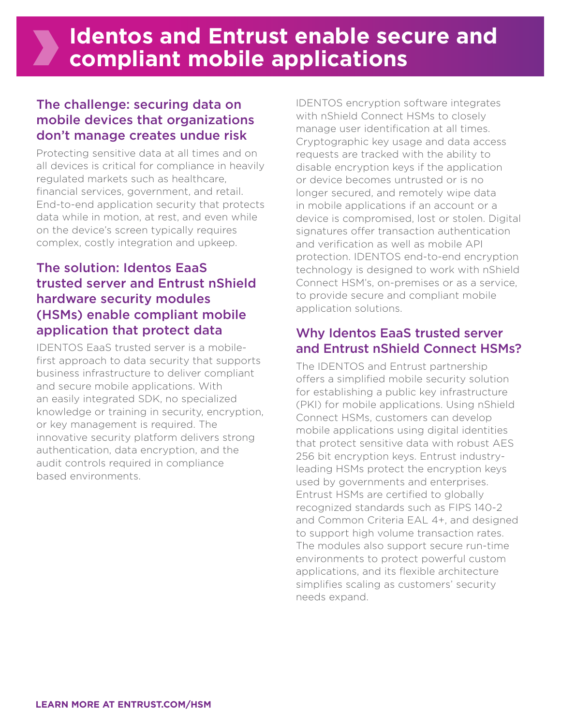## The challenge: securing data on mobile devices that organizations don't manage creates undue risk

Protecting sensitive data at all times and on all devices is critical for compliance in heavily regulated markets such as healthcare, financial services, government, and retail. End-to-end application security that protects data while in motion, at rest, and even while on the device's screen typically requires complex, costly integration and upkeep.

## The solution: Identos EaaS trusted server and Entrust nShield hardware security modules (HSMs) enable compliant mobile application that protect data

IDENTOS EaaS trusted server is a mobilefirst approach to data security that supports business infrastructure to deliver compliant and secure mobile applications. With an easily integrated SDK, no specialized knowledge or training in security, encryption, or key management is required. The innovative security platform delivers strong authentication, data encryption, and the audit controls required in compliance based environments.

IDENTOS encryption software integrates with nShield Connect HSMs to closely manage user identification at all times. Cryptographic key usage and data access requests are tracked with the ability to disable encryption keys if the application or device becomes untrusted or is no longer secured, and remotely wipe data in mobile applications if an account or a device is compromised, lost or stolen. Digital signatures offer transaction authentication and verification as well as mobile API protection. IDENTOS end-to-end encryption technology is designed to work with nShield Connect HSM's, on-premises or as a service, to provide secure and compliant mobile application solutions.

## Why Identos EaaS trusted server and Entrust nShield Connect HSMs?

The IDENTOS and Entrust partnership offers a simplified mobile security solution for establishing a public key infrastructure (PKI) for mobile applications. Using nShield Connect HSMs, customers can develop mobile applications using digital identities that protect sensitive data with robust AES 256 bit encryption keys. Entrust industryleading HSMs protect the encryption keys used by governments and enterprises. Entrust HSMs are certified to globally recognized standards such as FIPS 140-2 and Common Criteria EAL 4+, and designed to support high volume transaction rates. The modules also support secure run-time environments to protect powerful custom applications, and its flexible architecture simplifies scaling as customers' security needs expand.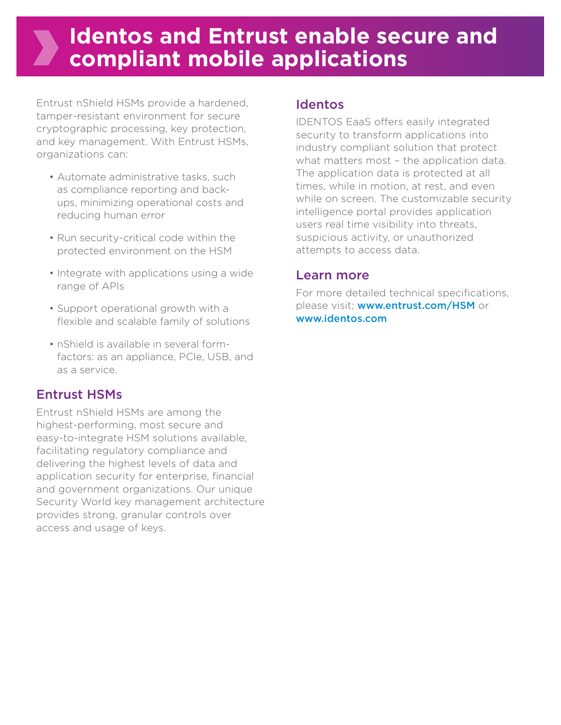# **Identos and Entrust enable secure and compliant mobile applications**

Entrust nShield HSMs provide a hardened, tamper-resistant environment for secure cryptographic processing, key protection, and key management. With Entrust HSMs, organizations can:

- Automate administrative tasks, such as compliance reporting and backups, minimizing operational costs and reducing human error
- Run security-critical code within the protected environment on the HSM
- Integrate with applications using a wide range of APIs
- Support operational growth with a flexible and scalable family of solutions
- nShield is available in several formfactors: as an appliance, PCIe, USB, and as a service.

## Entrust HSMs

Entrust nShield HSMs are among the highest-performing, most secure and easy-to-integrate HSM solutions available, facilitating regulatory compliance and delivering the highest levels of data and application security for enterprise, financial and government organizations. Our unique Security World key management architecture provides strong, granular controls over access and usage of keys.

#### Identos

IDENTOS EaaS offers easily integrated security to transform applications into industry compliant solution that protect what matters most - the application data. The application data is protected at all times, while in motion, at rest, and even while on screen. The customizable security intelligence portal provides application users real time visibility into threats, suspicious activity, or unauthorized attempts to access data.

#### Learn more

For more detailed technical specifications, please visit; [www.entrust.com/HSM](http://www.entrust.com/HSM) or [www.identos.com](http://www.identos.com)